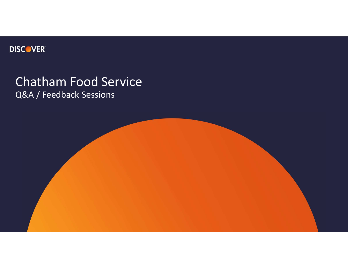

# Chatham Food Service Q&A / Feedback Sessions

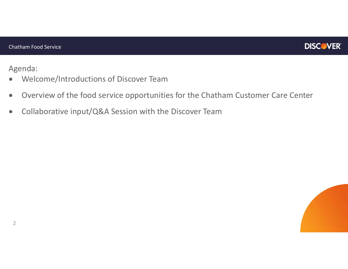

Agenda:

- Welcome/Introductions of Discover Team
- Overview of the food service opportunities for the Chatham Customer Care Center
- Collaborative input/Q&A Session with the Discover Team

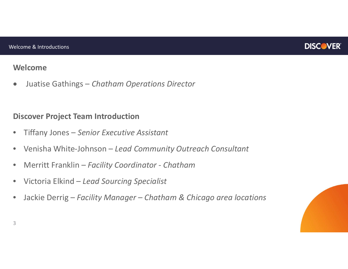

## **Welcome**

Juatise Gathings – *Chatham Operations Director*

## **Discover Project Team Introduction**

- Tiffany Jones *Senior Executive Assistant*
- Venisha White-Johnson *Lead Community Outreach Consultant*
- Merritt Franklin *Facility Coordinator Chatham*
- Victoria Elkind *Lead Sourcing Specialist*
- Jackie Derrig *Facility Manager Chatham & Chicago area locations*



3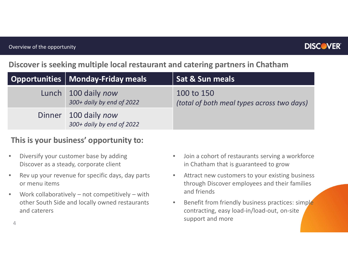## **Discover is seeking multiple local restaurant and catering partners in Chatham**

| Opportunities   Monday-Friday meals               | Sat & Sun meals                                          |
|---------------------------------------------------|----------------------------------------------------------|
| Lunch 100 daily now<br>300+ daily by end of 2022  | 100 to 150<br>(total of both meal types across two days) |
| Dinner 100 daily now<br>300+ daily by end of 2022 |                                                          |

## **This is your business' opportunity to:**

- Diversify your customer base by adding Discover as a steady, corporate client
- Rev up your revenue for specific days, day parts or menu items
- Work collaboratively not competitively with other South Side and locally owned restaurants and caterers
- Join a cohort of restaurants serving a workforce in Chatham that is guaranteed to grow
- Attract new customers to your existing business through Discover employees and their families and friends
- Benefit from friendly business practices: simple contracting, easy load-in/load-out, on-site support and more

4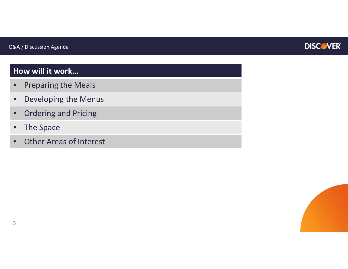

## **How will it work…**

- Preparing the Meals
- Developing the Menus
- Ordering and Pricing
- The Space
- **Other Areas of Interest**

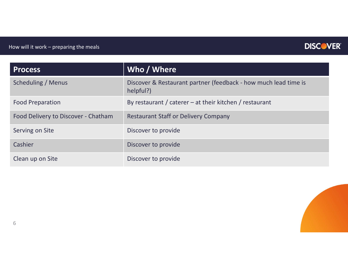

| <b>Process</b>                      | Who / Where                                                                  |
|-------------------------------------|------------------------------------------------------------------------------|
| Scheduling / Menus                  | Discover & Restaurant partner (feedback - how much lead time is<br>helpful?) |
| <b>Food Preparation</b>             | By restaurant / caterer – at their kitchen / restaurant                      |
| Food Delivery to Discover - Chatham | <b>Restaurant Staff or Delivery Company</b>                                  |
| Serving on Site                     | Discover to provide                                                          |
| Cashier                             | Discover to provide                                                          |
| Clean up on Site                    | Discover to provide                                                          |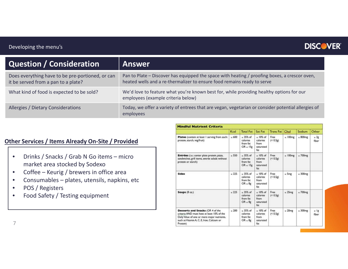#### Developing the menu's

## **DISCOVER**

| Question / Consideration                                                                | <b>Answer</b>                                                                                                                                                            |
|-----------------------------------------------------------------------------------------|--------------------------------------------------------------------------------------------------------------------------------------------------------------------------|
| Does everything have to be pre-portioned, or can<br>it be served from a pan to a plate? | Pan to Plate – Discover has equipped the space with heating / proofing boxes, a crescor oven,<br>heated wells and a re-thermalizer to ensure food remains ready to serve |
| What kind of food is expected to be sold?                                               | We'd love to feature what you're known best for, while providing healthy options for our<br>employees (example criteria below)                                           |
| Allergies / Dietary Considerations                                                      | Today, we offer a variety of entrees that are vegan, vegetarian or consider potential allergies of<br>employees                                                          |

#### **Other Services / Items Already On-Site / Provided**

- Drinks / Snacks / Grab N Go items micro market area stocked by Sodexo
- Coffee Keurig / brewers in office area
- Consumables plates, utensils, napkins, etc
- POS / Registers
- Food Safety / Testing equipment

|                                                                                                                                                                                        | Kcal          | <b>Total Fat</b>                                      | Sat Fat                                                      | <b>Trans Fat</b> | Chol           | Sodium          | Other                 |
|----------------------------------------------------------------------------------------------------------------------------------------------------------------------------------------|---------------|-------------------------------------------------------|--------------------------------------------------------------|------------------|----------------|-----------------|-----------------------|
| Plates (contain at least I serving from each:<br>protein, starch, veg/fruit)                                                                                                           | $\leq 600$    | $=$ 35% of<br>calories<br>from fat<br>$OR \leq 15g$   | $\leq 10\%$ of<br>calories<br>from<br>saturated<br>fat       | Free<br>(< 0.5g) | $\leq 100$ mg  | $= 800mg$       | $=3g$<br>fiber        |
| Entrées (i.e.: center plate protein, pizza,<br>sandwiches, grill items, entrée salads without<br>protein or starch)                                                                    | < 550         | $< 35\%$ of<br>calories<br>from fat<br>$OR \leq 15g$  | $< 10\%$ of<br>calories<br>from<br>saturated<br>fat          | Free<br>(< 0.5g) | $\leq 100$ mg  | $\leq$ 700 $mg$ |                       |
| <b>Sides</b>                                                                                                                                                                           | $\times$ 225  | $\approx$ 35% of<br>calories<br>from fat<br>$OR = 8g$ | $= 10\% \text{ of }$<br>calories<br>from<br>saturated<br>fat | Free<br>(< 0.5g) | $\leq$ 5mg     | $\leq$ 300 $mg$ |                       |
| Soups (8 oz.)                                                                                                                                                                          | $\approx 225$ | $< 35\%$ of<br>calories<br>from fat<br>$OR = 8g$      | $< 10\%$ of<br>calories<br>from<br>saturated<br>fat          | Free<br>(< 0.5g) | $\leq$ 25 $mg$ | $\leq 700$ mg   |                       |
| Desserts and Snacks (OR 4 of the<br>criteria AND must have at least 10% of the<br>Daily Value of one or more major nutrients.<br>such as Vitamin A, C, E, Iron, Calcium or<br>Protein) | ~1200         | $\leq$ 35% of<br>calories<br>from fat<br>$OR = 8g$    | $\leq 10\%$ of<br>calories<br>from<br>saturated<br>fat       | Free<br>(< 0.5g) | $\leq$ 20 $mg$ | $\leq$ 300 $mg$ | $\geq$ $\lg$<br>fiber |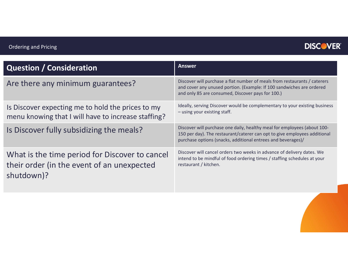

| <b>Question / Consideration</b>                                                                            | <b>Answer</b>                                                                                                                                                                                                         |
|------------------------------------------------------------------------------------------------------------|-----------------------------------------------------------------------------------------------------------------------------------------------------------------------------------------------------------------------|
| Are there any minimum guarantees?                                                                          | Discover will purchase a flat number of meals from restaurants / caterers<br>and cover any unused portion. (Example: If 100 sandwiches are ordered<br>and only 85 are consumed, Discover pays for 100.)               |
| Is Discover expecting me to hold the prices to my<br>menu knowing that I will have to increase staffing?   | Ideally, serving Discover would be complementary to your existing business<br>- using your existing staff.                                                                                                            |
| Is Discover fully subsidizing the meals?                                                                   | Discover will purchase one daily, healthy meal for employees (about 100-<br>150 per day). The restaurant/caterer can opt to give employees additional<br>purchase options (snacks, additional entrees and beverages)/ |
| What is the time period for Discover to cancel<br>their order (in the event of an unexpected<br>shutdown)? | Discover will cancel orders two weeks in advance of delivery dates. We<br>intend to be mindful of food ordering times / staffing schedules at your<br>restaurant / kitchen.                                           |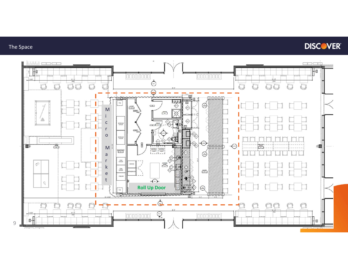### The Space

## **DISCOVER**

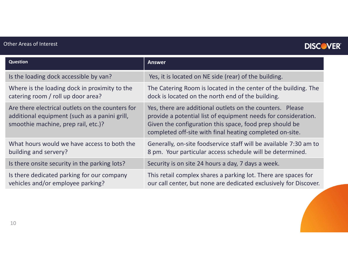### Other Areas of Interest

## **DISCOVER**

| <b>Question</b>                                                                                                                          | <b>Answer</b>                                                                                                                                                                                                                                      |
|------------------------------------------------------------------------------------------------------------------------------------------|----------------------------------------------------------------------------------------------------------------------------------------------------------------------------------------------------------------------------------------------------|
| Is the loading dock accessible by van?                                                                                                   | Yes, it is located on NE side (rear) of the building.                                                                                                                                                                                              |
| Where is the loading dock in proximity to the<br>catering room / roll up door area?                                                      | The Catering Room is located in the center of the building. The<br>dock is located on the north end of the building.                                                                                                                               |
| Are there electrical outlets on the counters for<br>additional equipment (such as a panini grill,<br>smoothie machine, prep rail, etc.)? | Yes, there are additional outlets on the counters. Please<br>provide a potential list of equipment needs for consideration.<br>Given the configuration this space, food prep should be<br>completed off-site with final heating completed on-site. |
| What hours would we have access to both the<br>building and servery?                                                                     | Generally, on-site foodservice staff will be available 7:30 am to<br>8 pm. Your particular access schedule will be determined.                                                                                                                     |
| Is there onsite security in the parking lots?                                                                                            | Security is on site 24 hours a day, 7 days a week.                                                                                                                                                                                                 |
| Is there dedicated parking for our company<br>vehicles and/or employee parking?                                                          | This retail complex shares a parking lot. There are spaces for<br>our call center, but none are dedicated exclusively for Discover.                                                                                                                |